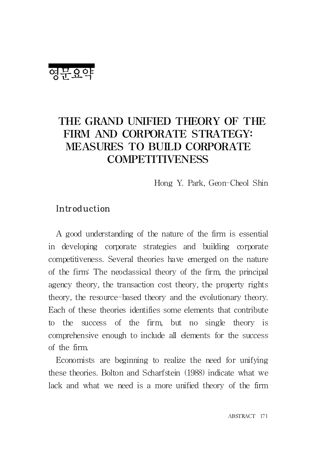영문요약

# THE GRAND UNIFIED THEORY OF THE FIRM AND CORPORATE STRATEGY: MEASURES TO BUILD CORPORATE **COMPETITIVENESS**

Hong Y. Park, Geon-Cheol Shin

## Introduction

A good understanding of the nature of the firm is essential in developing corporate strategies and building corporate competitiveness. Several theories have emerged on the nature of the firm: The neoclassical theory of the firm, the principal agency theory, the transaction cost theory, the property rights theory, the resource-based theory and the evolutionary theory. Each of these theories identifies some elements that contribute to the success of the firm, but no single theory is comprehensive enough to include all elements for the success of the firm.

Economists are beginning to realize the need for unifying these theories. Bolton and Scharfstein (1988) indicate what we lack and what we need is a more unified theory of the firm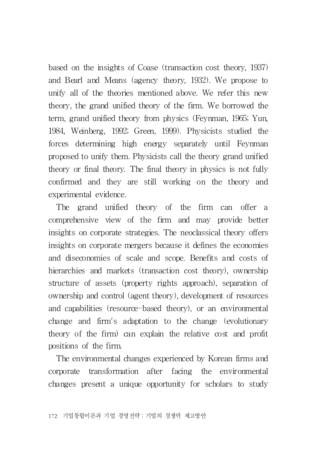based on the insights of Coase (transaction cost theory, 1937) and Bearl and Means (agency theory, 1932). We propose to unify all of the theories mentioned above. We refer this new theory, the grand unified theory of the firm. We borrowed the term, grand unified theory from physics (Feynman, 1965; Yun, 1984, Weinberg, 1992; Green, 1999). Physicists studied the forces determining high energy separately until Feynman proposed to unify them. Physicists call the theory grand unified theory or final theory. The final theory in physics is not fully confirmed and they are still working on the theory and experimental evidence.

The grand unified theory of the firm can offer a comprehensive view of the firm and may provide better insights on corporate strategies. The neoclassical theory offers insights on corporate mergers because it defines the economies and diseconomies of scale and scope. Benefits and costs of hierarchies and markets (transaction cost theory), ownership structure of assets (property rights approach), separation of ownership and control (agent theory), development of resources and capabilities (resource-based theory), or an environmental change and firm's adaptation to the change (evolutionary theory of the firm) can explain the relative cost and profit positions of the firm.

The environmental changes experienced by Korean firms and corporate transformation after facing the environmental changes present a unique opportunity for scholars to study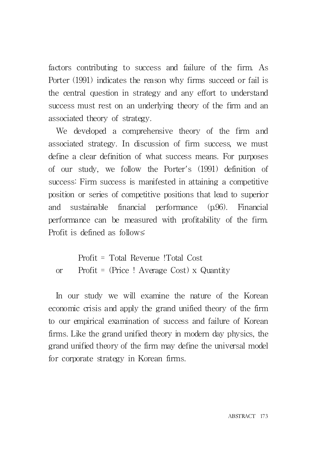factors contributing to success and failure of the firm. As Porter (1991) indicates the reason why firms succeed or fail is the central question in strategy and any effort to understand success must rest on an underlying theory of the firm and an associated theory of strategy.

We developed a comprehensive theory of the firm and associated strategy. In discussion of firm success, we must define a clear definition of what success means. For purposes of our study, we follow the Porter's (1991) definition of success: Firm success is manifested in attaining a competitive position or series of competitive positions that lead to superior and sustainable financial performance (p.96). Financial performance can be measured with profitability of the firm. Profit is defined as follows:

Profit = Total Revenue !Total Cost or Profit = (Price ! Average Cost) x Quantity

In our study we will examine the nature of the Korean economic crisis and apply the grand unified theory of the firm to our empirical examination of success and failure of Korean firms. Like the grand unified theory in modern day physics, the grand unified theory of the firm may define the universal model for corporate strategy in Korean firms.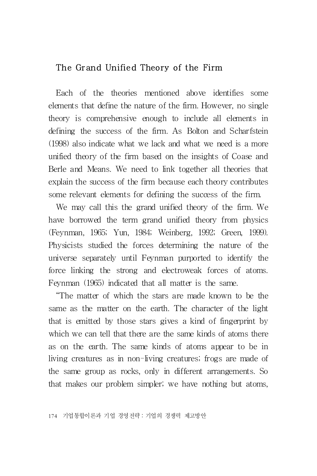## The Grand Unified Theory of the Firm

Each of the theories mentioned above identifies some elements that define the nature of the firm. However, no single theory is comprehensive enough to include all elements in defining the success of the firm. As Bolton and Scharfstein (1998) also indicate what we lack and what we need is a more unified theory of the firm based on the insights of Coase and Berle and Means. We need to link together all theories that explain the success of the firm because each theory contributes some relevant elements for defining the success of the firm.

We may call this the grand unified theory of the firm. We have borrowed the term grand unified theory from physics (Feynman, 1965; Yun, 1984; Weinberg, 1992; Green, 1999). Physicists studied the forces determining the nature of the universe separately until Feynman purported to identify the force linking the strong and electroweak forces of atoms. Feynman (1965) indicated that all matter is the same.

"The matter of which the stars are made known to be the same as the matter on the earth. The character of the light that is emitted by those stars gives a kind of fingerprint by which we can tell that there are the same kinds of atoms there as on the earth. The same kinds of atoms appear to be in living creatures as in non-living creatures; frogs are made of the same group as rocks, only in different arrangements. So that makes our problem simpler; we have nothing but atoms,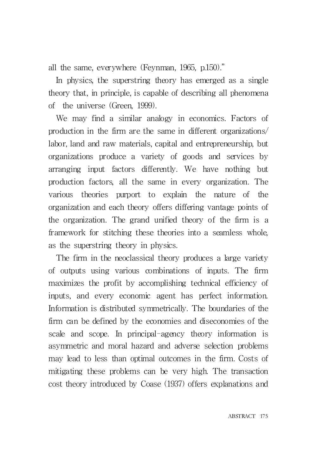all the same, everywhere (Feynman, 1965, p.150)."

In physics, the superstring theory has emerged as a single theory that, in principle, is capable of describing all phenomena of the universe (Green, 1999).

We may find a similar analogy in economics. Factors of production in the firm are the same in different organizations/ labor, land and raw materials, capital and entrepreneurship, but organizations produce a variety of goods and services by arranging input factors differently. We have nothing but production factors, all the same in every organization. The various theories purport to explain the nature of the organization and each theory offers differing vantage points of the organization. The grand unified theory of the firm is a framework for stitching these theories into a seamless whole, as the superstring theory in physics.

The firm in the neoclassical theory produces a large variety of outputs using various combinations of inputs. The firm maximizes the profit by accomplishing technical efficiency of inputs, and every economic agent has perfect information. Information is distributed symmetrically. The boundaries of the firm can be defined by the economies and diseconomies of the scale and scope. In principal-agency theory information is asymmetric and moral hazard and adverse selection problems may lead to less than optimal outcomes in the firm. Costs of mitigating these problems can be very high. The transaction cost theory introduced by Coase (1937) offers explanations and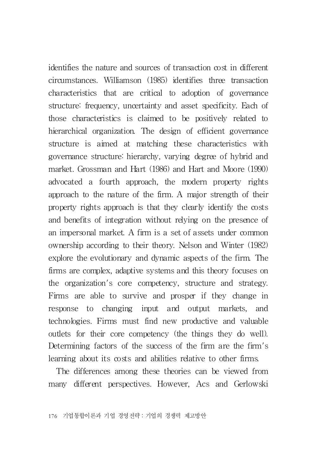identifies the nature and sources of transaction cost in different circumstances. Williamson (1985) identifies three transaction characteristics that are critical to adoption of governance structure: frequency, uncertainty and asset specificity. Each of those characteristics is claimed to be positively related to hierarchical organization. The design of efficient governance structure is aimed at matching these characteristics with governance structure: hierarchy, varying degree of hybrid and market. Grossman and Hart (1986) and Hart and Moore (1990) advocated a fourth approach, the modern property rights approach to the nature of the firm. A major strength of their property rights approach is that they clearly identify the costs and benefits of integration without relying on the presence of an impersonal market. A firm is a set of assets under common ownership according to their theory. Nelson and Winter (1982) explore the evolutionary and dynamic aspects of the firm. The firms are complex, adaptive systems and this theory focuses on the organization's core competency, structure and strategy. Firms are able to survive and prosper if they change in response to changing input and output markets, and technologies. Firms must find new productive and valuable outlets for their core competency (the things they do well). Determining factors of the success of the firm are the firm's learning about its costs and abilities relative to other firms.

The differences among these theories can be viewed from many different perspectives. However, Acs and Gerlowski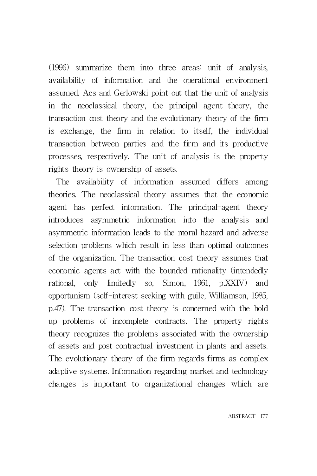(1996) summarize them into three areas: unit of analysis, availability of information and the operational environment assumed. Acs and Gerlowski point out that the unit of analysis in the neoclassical theory, the principal agent theory, the transaction cost theory and the evolutionary theory of the firm is exchange, the firm in relation to itself, the individual transaction between parties and the firm and its productive processes, respectively. The unit of analysis is the property rights theory is ownership of assets.

The availability of information assumed differs among theories. The neoclassical theory assumes that the economic agent has perfect information. The principal-agent theory introduces asymmetric information into the analysis and asymmetric information leads to the moral hazard and adverse selection problems which result in less than optimal outcomes of the organization. The transaction cost theory assumes that economic agents act with the bounded rationality (intendedly rational, only limitedly so, Simon, 1961, p.XXIV) and opportunism (self-interest seeking with guile, Williamson, 1985, p.47). The transaction cost theory is concerned with the hold up problems of incomplete contracts. The property rights theory recognizes the problems associated with the ownership of assets and post contractual investment in plants and assets. The evolutionary theory of the firm regards firms as complex adaptive systems. Information regarding market and technology changes is important to organizational changes which are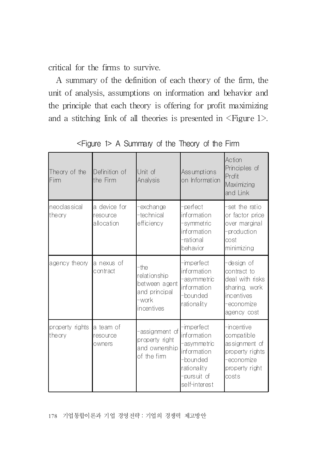critical for the firms to survive.

A summary of the definition of each theory of the firm, the unit of analysis, assumptions on information and behavior and the principle that each theory is offering for profit maximizing and a stitching link of all theories is presented in  $\leq$  Figure 1 $>$ .

| Theory of the<br>Fim      | Definition of<br>the Firm              | Unit of<br>Analysis                                                           | Assumptions<br>on Information                                                                                      | Action<br>Principles of<br>Prot<br>Maximizing<br>land Link                                                |
|---------------------------|----------------------------------------|-------------------------------------------------------------------------------|--------------------------------------------------------------------------------------------------------------------|-----------------------------------------------------------------------------------------------------------|
| neoclas sical<br>theory   | a device for<br>resource<br>allocation | exchange<br>technical <sup>.</sup><br>efficiency                              | -perfect<br>information<br>-symmetric<br>information<br>-rational<br>behavior                                      | -set the ratio<br>or factor price<br>over marginal<br>-production<br>cost<br>minimizing                   |
| agency theory             | a nexus of<br>contract                 | -the<br>relationship<br>between agent<br>and principal<br>-work<br>incentives | -imperfect<br>information<br>-asymmetric<br>information<br>-bounded<br>rationality                                 | -design of<br>contract to<br>deal with risks<br>sharing, work<br>lincentives<br>-economize<br>agency cost |
| property rights<br>theory | a team of<br>resource<br>owners        | assignment of<br>property right<br>and ownership<br>of the firm               | -imperfect<br>information<br>-asymmetric<br>information<br>-bounded<br>rationality<br>-pursuit of<br>self-interest | -incentive<br>compatible<br>assignment of<br>property rights<br>-economize<br>property right<br>costs     |

<Figure 1> A Summary of the Theory of the Firm

178 기업통합이론과 기업 경영전략:기업의 경쟁력 제고방안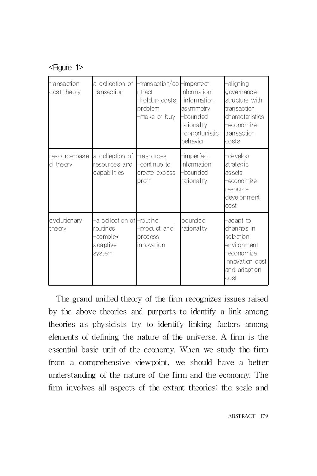#### <Figure 1>

| transaction<br>cost theory | a collection of<br>transaction                                          | -transaction/co<br><b>Intract</b><br>-holdup costs<br>problem<br>-make or buy | -imperfect<br>information<br>-information<br>as ymmetry<br>-bounded<br>rationality<br>-opportunistic<br>behavior | -aligning<br>govemance<br>structure with<br>transaction<br>characteristics<br>-economize<br>transaction<br>costs |
|----------------------------|-------------------------------------------------------------------------|-------------------------------------------------------------------------------|------------------------------------------------------------------------------------------------------------------|------------------------------------------------------------------------------------------------------------------|
| resource-base<br>d theory  | a collection of<br>resources and<br>capabilities                        | -resources<br>-continue to<br>create excess<br>profit                         | -imperfect<br>information<br>-bounded<br>rationality                                                             | -develop<br>strategic<br>as sets<br>-economize<br>resource<br>development<br>cost                                |
| evolutionary<br>theory     | -a collection of Froutine<br>routines<br>-complex<br>adaptive<br>svstem | -product and<br>process<br>innovation                                         | bounded<br>rationality                                                                                           | -adapt to<br>changes in<br>selection<br>environment<br>-economize<br>innovation cost<br>and adaption<br>cost     |

The grand unified theory of the firm recognizes issues raised by the above theories and purports to identify a link among theories as physicists try to identify linking factors among elements of defining the nature of the universe. A firm is the essential basic unit of the economy. When we study the firm from a comprehensive viewpoint, we should have a better understanding of the nature of the firm and the economy. The firm involves all aspects of the extant theories: the scale and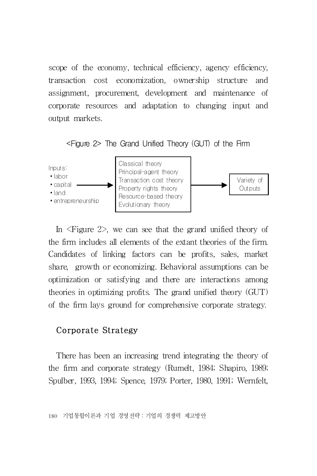scope of the economy, technical efficiency, agency efficiency, transaction cost economization, ownership structure and assignment, procurement, development and maintenance of corporate resources and adaptation to changing input and output markets.

<Figure 2> The Grand Unified Theory (GUT) of the Firm



In <Figure 2>, we can see that the grand unified theory of the firm includes all elements of the extant theories of the firm. Candidates of linking factors can be profits, sales, market share, growth or economizing. Behavioral assumptions can be optimization or satisfying and there are interactions among theories in optimizing profits. The grand unified theory (GUT) of the firm lays ground for comprehensive corporate strategy.

#### Corporate Strategy

There has been an increasing trend integrating the theory of the firm and corporate strategy (Rumelt, 1984; Shapiro, 1989; Spulber, 1993, 1994; Spence, 1979; Porter, 1980, 1991; Wernfelt,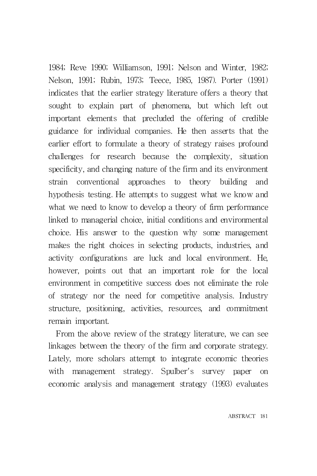1984; Reve 1990; Williamson, 1991; Nelson and Winter, 1982; Nelson, 1991; Rubin, 1973; Teece, 1985, 1987). Porter (1991) indicates that the earlier strategy literature offers a theory that sought to explain part of phenomena, but which left out important elements that precluded the offering of credible guidance for individual companies. He then asserts that the earlier effort to formulate a theory of strategy raises profound challenges for research because the complexity, situation specificity, and changing nature of the firm and its environment strain conventional approaches to theory building and hypothesis testing. He attempts to suggest what we know and what we need to know to develop a theory of firm performance linked to managerial choice, initial conditions and environmental choice. His answer to the question why some management makes the right choices in selecting products, industries, and activity configurations are luck and local environment. He, however, points out that an important role for the local environment in competitive success does not eliminate the role of strategy nor the need for competitive analysis. Industry structure, positioning, activities, resources, and commitment remain important.

From the above review of the strategy literature, we can see linkages between the theory of the firm and corporate strategy. Lately, more scholars attempt to integrate economic theories with management strategy. Spulber's survey paper on economic analysis and management strategy (1993) evaluates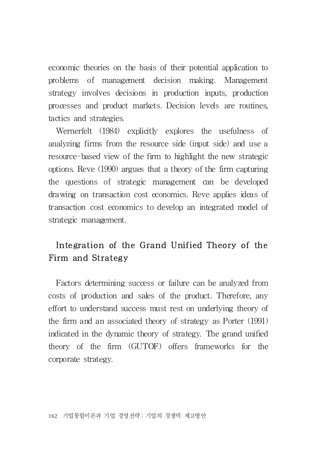economic theories on the basis of their potential application to problems of management decision making. Management strategy involves decisions in production inputs, production processes and product markets. Decision levels are routines, tactics and strategies.

Wernerfelt (1984) explicitly explores the usefulness of analyzing firms from the resource side (input side) and use a resource-based view of the firm to highlight the new strategic options. Reve (1990) argues that a theory of the firm capturing the questions of strategic management can be developed drawing on transaction cost economics. Reve applies ideas of transaction cost economics to develop an integrated model of strategic management.

## Integration of the Grand Unified Theory of the Firm and Strategy

Factors determining success or failure can be analyzed from costs of production and sales of the product. Therefore, any effort to understand success must rest on underlying theory of the firm and an associated theory of strategy as Porter (1991) indicated in the dynamic theory of strategy. The grand unified theory of the firm (GUTOF) offers frameworks for the corporate strategy.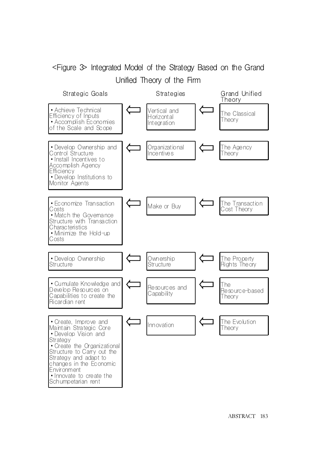## <Figure 3> Integrated Model of the Strategy Based on the Grand Unified Theory of the Firm

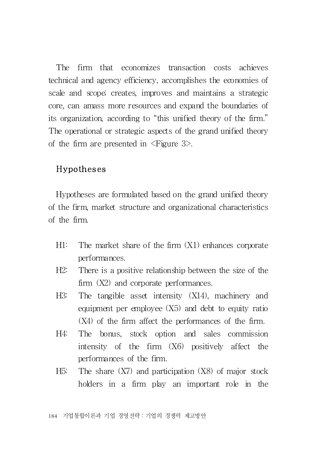The firm that economizes transaction costs achieves technical and agency efficiency, accomplishes the economies of scale and scope; creates, improves and maintains a strategic core, can amass more resources and expand the boundaries of its organization, according to "this unified theory of the firm." The operational or strategic aspects of the grand unified theory of the firm are presented in  $\leq$  Figure 3>.

#### Hypotheses

Hypotheses are formulated based on the grand unified theory of the firm, market structure and organizational characteristics of the firm.

- H1: The market share of the firm (X1) enhances corporate performances.
- H2: There is a positive relationship between the size of the firm  $(X2)$  and corporate performances.
- H3: The tangible asset intensity (X14), machinery and equipment per employee (X5) and debt to equity ratio (X4) of the firm affect the performances of the firm.
- H4: The bonus, stock option and sales commission intensity of the firm (X6) positively affect the performances of the firm.
- H5: The share (X7) and participation (X8) of major stock holders in a firm play an important role in the

184 기업통합이론과 기업 경영전략:기업의 경쟁력 제고방안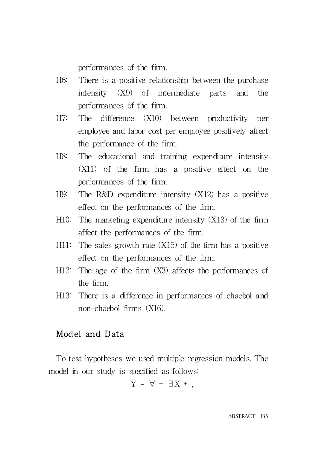performances of the firm.

- H6: There is a positive relationship between the purchase intensity (X9) of intermediate parts and the performances of the firm.
- H7: The difference (X10) between productivity per employee and labor cost per employee positively affect the performance of the firm.
- H8: The educational and training expenditure intensity (X11) of the firm has a positive effect on the performances of the firm.
- H9: The R&D expenditure intensity (X12) has a positive effect on the performances of the firm.
- H10: The marketing expenditure intensity (X13) of the firm affect the performances of the firm.
- H11: The sales growth rate  $(X15)$  of the firm has a positive effect on the performances of the firm.
- H12: The age of the firm (X3) affects the performances of the firm.
- H13: There is a difference in performances of chaebol and non-chaebol firms (X16).

## Model and Data

To test hypotheses we used multiple regression models. The model in our study is specified as follows:

$$
Y = \forall + \exists X + ,
$$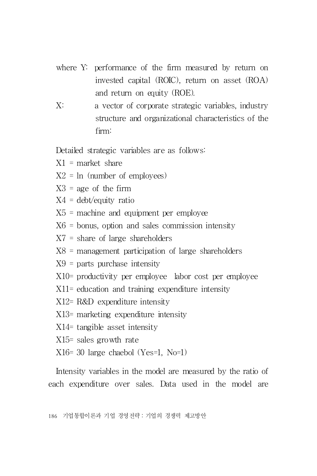- where Y: performance of the firm measured by return on invested capital (ROIC), return on asset (ROA) and return on equity (ROE).
- X: a vector of corporate strategic variables, industry structure and organizational characteristics of the firm:

Detailed strategic variables are as follows:

- $X1$  = market share
- $X2 = \ln$  (number of employees)
- $X3$  = age of the firm
- $X4 =$  debt/equity ratio
- $X5$  = machine and equipment per employee
- $X6$  = bonus, option and sales commission intensity
- X7 = share of large shareholders
- X8 = management participation of large shareholders
- X9 = parts purchase intensity
- X10= productivity per employee labor cost per employee
- X11= education and training expenditure intensity
- X12= R&D expenditure intensity
- X13= marketing expenditure intensity
- X14= tangible asset intensity
- X15= sales growth rate
- X16= 30 large chaebol (Yes=1, No=1)

Intensity variables in the model are measured by the ratio of each expenditure over sales. Data used in the model are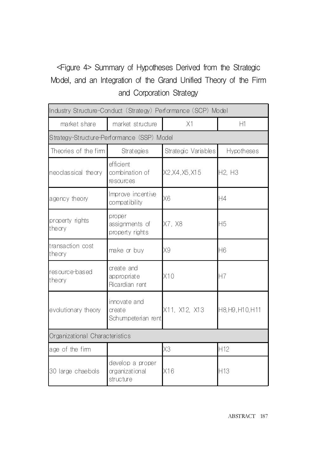# <Figure 4> Summary of Hypotheses Derived from the Strategic Model, and an Integration of the Grand Unified Theory of the Firm and Corporation Strategy

| Industry Structure-Conduct (Strategy) Performance (SCP) Model |                                                 |                     |                  |  |  |
|---------------------------------------------------------------|-------------------------------------------------|---------------------|------------------|--|--|
| market share                                                  | market structure                                | X1                  | H1               |  |  |
|                                                               | Strategy-Structure-Performance (SSP) Model      |                     |                  |  |  |
| Theories of the firm                                          | <b>Strategies</b>                               | Strategic Variables | Hypotheses       |  |  |
| neoclassical theory                                           | efficient<br>combination of<br>resources        | X2, X4, X5, X15     | H2. H3           |  |  |
| agency theory                                                 | Improve incentive<br>compatibility              | X <sub>6</sub>      | H4               |  |  |
| property rights<br>theory                                     | proper<br>assignments of<br>property rights     | X7. X8              | H5               |  |  |
| transaction cost<br>theory                                    | make or buy                                     | X9                  | Η6               |  |  |
| resource-based<br>theory                                      | create and<br>appropriate<br>Ricardian rent     | X10                 | H7               |  |  |
| evolutionary theory                                           | innovate and<br>create<br>Schumpeterian rent    | X11, X12, X13       | H8, H9, H10, H11 |  |  |
| Organizational Characteristics                                |                                                 |                     |                  |  |  |
| age of the firm                                               |                                                 | X3                  | H <sub>12</sub>  |  |  |
| 30 large chaebols                                             | develop a proper<br>organizational<br>structure | X16                 | H13              |  |  |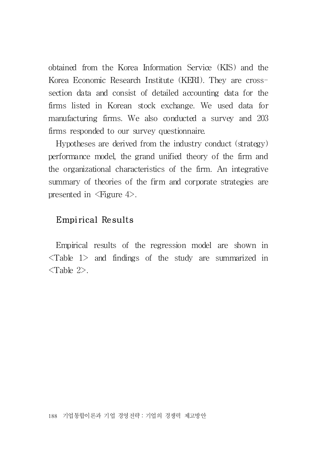obtained from the Korea Information Service (KIS) and the Korea Economic Research Institute (KERI). They are crosssection data and consist of detailed accounting data for the firms listed in Korean stock exchange. We used data for manufacturing firms. We also conducted a survey and 203 firms responded to our survey questionnaire.

Hypotheses are derived from the industry conduct (strategy) performance model, the grand unified theory of the firm and the organizational characteristics of the firm. An integrative summary of theories of the firm and corporate strategies are presented in  $\langle$ Figure 4 $\rangle$ .

## Empirical Results

Empirical results of the regression model are shown in  $\langle$ Table 1 $>$  and findings of the study are summarized in  $\langle$ Table 2>.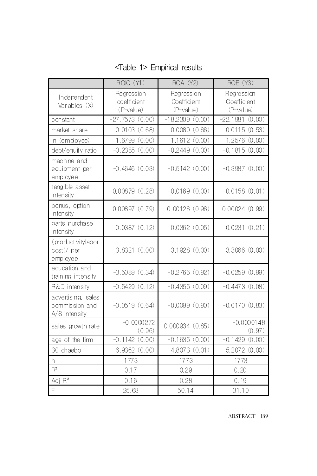|                                                       | ROC (Y1)                                                                           | <b>ROA (Y2)</b>  | <b>ROE (Y3)</b>                        |
|-------------------------------------------------------|------------------------------------------------------------------------------------|------------------|----------------------------------------|
| Independent<br>Variables (X)                          | Regression<br>Regression<br>coefficient<br>Coefficient<br>(P-value)<br>$(P-value)$ |                  | Regression<br>Coefficient<br>(P-value) |
| constant                                              | $-27.7573(0.00)$                                                                   | $-18.2309(0.00)$ | $-22.1981(0.00)$                       |
| market share                                          | 0.0103(0.68)                                                                       | 0.0080(0.66)     | 0.0115(0.53)                           |
| In (employee)                                         | 1.6799 (0.00)                                                                      | 1.1612 (0.00)    | 1.2576 (0.00)                          |
| debt/equity ratio                                     | $-0.2385(0.00)$                                                                    | $-0.2449(0.00)$  | $-0.1815(0.00)$                        |
| machine and<br>equipment per<br>employee              | $-0.4646(0.03)$<br>$-0.5142(0.00)$                                                 |                  | $-0.3987(0.00)$                        |
| tangible asset<br>intensity                           | $-0.00879(0.28)$                                                                   | $-0.0169(0.00)$  | $-0.0158(0.01)$                        |
| bonus, option<br>intensity                            | 0.00897(0.79)                                                                      | 0.00126(0.96)    | 0.00024(0.99)                          |
| parts purchase<br>intensity                           | 0.0387(0.12)                                                                       | 0.0362(0.05)     | 0.0231(0.21)                           |
| (productivitylabor<br>$cost$ )/ per<br>employee       | 3.8321(0.00)                                                                       | 3.1928(0.00)     | 3.3066(0.00)                           |
| education and<br>training intensity                   | $-3.5089(0.34)$                                                                    | $-0.2766(0.92)$  | $-0.0259(0.99)$                        |
| R&D intensity                                         | $-0.5429(0.12)$                                                                    | $-0.4355(0.09)$  | $-0.4473(0.08)$                        |
| advertising, sales<br>commission and<br>A/S intensity | $-0.0519(0.64)$                                                                    | $-0.0099(0.90)$  | $-0.0170(0.83)$                        |
| sales growth rate                                     | $-0.0000272$<br>(0.96)                                                             | 0.000934(0.85)   | $-0.0000148$<br>(0.97)                 |
| age of the firm                                       | $-0.1142(0.00)$                                                                    | $-0.1635(0.00)$  | $-0.1429(0.00)$                        |
| 30 chaebol                                            | $-6.9362(0.00)$                                                                    | $-4.8073(0.01)$  | $-5.2072(0.00)$                        |
| n                                                     | 1773                                                                               | 1773             | 1773                                   |
| $R^2$                                                 | 0.17                                                                               | 0.29             | 0.20                                   |
| Adj R <sup>2</sup>                                    | 0.16                                                                               | 0.28             | 0.19                                   |
| $\overline{F}$                                        | 25.68                                                                              | 50.14            | 31.10                                  |

<Table 1> Empirical results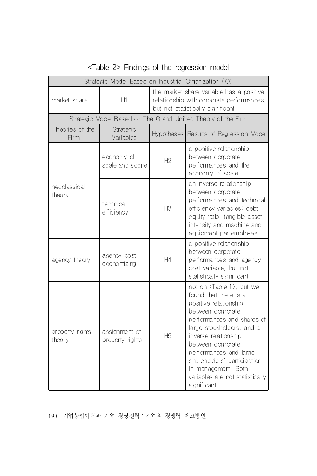| Strategic Model Based on Industrial Organization (IO) |                                  |                                                                                                                             |                                                                                                                                                                                                                                                                                                                                                                |  |
|-------------------------------------------------------|----------------------------------|-----------------------------------------------------------------------------------------------------------------------------|----------------------------------------------------------------------------------------------------------------------------------------------------------------------------------------------------------------------------------------------------------------------------------------------------------------------------------------------------------------|--|
| H1<br>market share                                    |                                  | the market share variable has a positive<br>relationship with corporate performances,<br>but not statistically significant. |                                                                                                                                                                                                                                                                                                                                                                |  |
|                                                       |                                  |                                                                                                                             | Strategic Model Based on The Grand Unified Theory of the Firm                                                                                                                                                                                                                                                                                                  |  |
| Theories of the<br>Firm                               | <b>Strategic</b><br>Variables    | Hypotheses                                                                                                                  | Results of Regression Model                                                                                                                                                                                                                                                                                                                                    |  |
| neoclassical<br>theory                                | economy of<br>scale and scope    | H2                                                                                                                          | a positive relationship<br>between corporate<br>performances and the<br>economy of scale.                                                                                                                                                                                                                                                                      |  |
|                                                       | technical<br>efficiency          | H3                                                                                                                          | an inverse relationship<br>between corporate<br>performances and technical<br>efficiency variables: debt<br>equity ratio, tangible asset<br>intensity and machine and<br>equipment per employee.                                                                                                                                                               |  |
| agency theory                                         | agency cost<br>economizing       | H4                                                                                                                          | a positive relationship<br>between corporate<br>performances and agency<br>cost variable, but not<br>statistically significant.                                                                                                                                                                                                                                |  |
| property rights<br>theory                             | assignment of<br>property rights | <b>H<sub>5</sub></b>                                                                                                        | not on $\langle$ Table 1 $\rangle$ , but we<br>found that there is a<br>positive relationship<br>between corporate<br>performances and shares of<br>large stockholders, and an<br>inverse relationship<br>between corporate<br>performances and large<br>shareholders' participation<br>in management. Both<br>variables are not statistically<br>significant. |  |

## <Table 2> Findings of the regression model

190 기업통합이론과 기업 경영전략:기업의 경쟁력 제고방안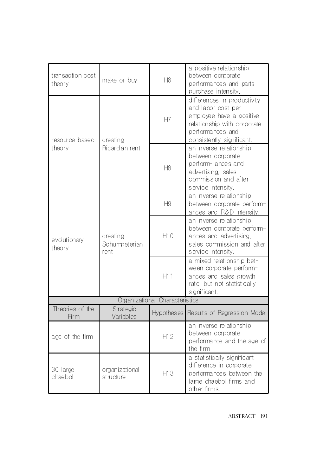| transaction cost<br>theory     | make or buy                       | <b>H</b> 6        | a positive relationship<br>between corporate<br>performances and parts<br>purchase intensity.                                                                 |  |
|--------------------------------|-----------------------------------|-------------------|---------------------------------------------------------------------------------------------------------------------------------------------------------------|--|
| resource based<br>theory       | creating<br>Ricardian rent        | H7                | differences in productivity<br>and labor cost per<br>employee have a positive<br>relationship with corporate<br>performances and<br>consistently significant. |  |
|                                |                                   | H <sub>8</sub>    | an inverse relationship<br>between corporate<br>perform ances and<br>advertising, sales<br>commission and after<br>service intensity.                         |  |
| evolutionary<br>theory         | creating<br>Schumpeterian<br>rent | Н9                | an inverse relationship<br>between corporate perform-<br>ances and R&D intensity.                                                                             |  |
|                                |                                   | H10               | an inverse relationship<br>between corporate perform-<br>ances and advertising,<br>sales commission and after<br>service intensity.                           |  |
|                                |                                   | H11               | a mixed relationship bet-<br>ween corporate perform-<br>ances and sales growth<br>rate, but not statistically<br>significant.                                 |  |
| Organizational Characteristics |                                   |                   |                                                                                                                                                               |  |
| Theories of the<br>Firm        | <b>Strategic</b><br>Variables     | <b>Hypotheses</b> | Results of Regression Model                                                                                                                                   |  |
| age of the firm                |                                   | H12               | an inverse relationship<br>between corporate<br>performance and the age of<br>the firm                                                                        |  |
| 30 large<br>chaebol            | organizational<br>structure       | H13               | a statistically significant<br>difference in corporate<br>performances between the<br>large chaebol firms and<br>other firms.                                 |  |